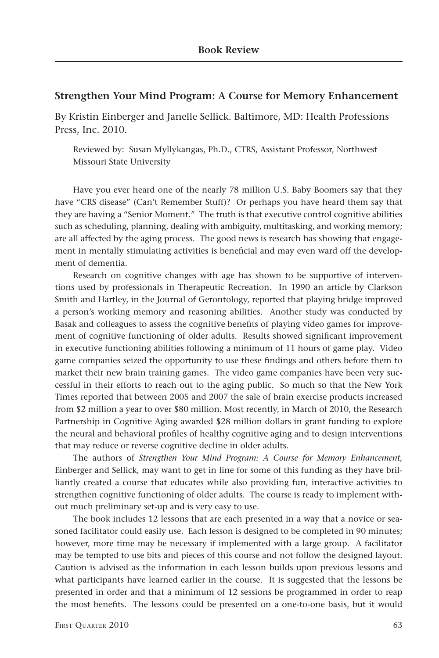## **Strengthen Your Mind Program: A Course for Memory Enhancement**

By Kristin Einberger and Janelle Sellick. Baltimore, MD: Health Professions Press, Inc. 2010.

Reviewed by: Susan Myllykangas, Ph.D., CTRS, Assistant Professor, Northwest Missouri State University

Have you ever heard one of the nearly 78 million U.S. Baby Boomers say that they have "CRS disease" (Can't Remember Stuff)? Or perhaps you have heard them say that they are having a "Senior Moment." The truth is that executive control cognitive abilities such as scheduling, planning, dealing with ambiguity, multitasking, and working memory; are all affected by the aging process. The good news is research has showing that engagement in mentally stimulating activities is beneficial and may even ward off the development of dementia.

Research on cognitive changes with age has shown to be supportive of interventions used by professionals in Therapeutic Recreation. In 1990 an article by Clarkson Smith and Hartley, in the Journal of Gerontology, reported that playing bridge improved a person's working memory and reasoning abilities. Another study was conducted by Basak and colleagues to assess the cognitive benefits of playing video games for improvement of cognitive functioning of older adults. Results showed significant improvement in executive functioning abilities following a minimum of 11 hours of game play. Video game companies seized the opportunity to use these findings and others before them to market their new brain training games. The video game companies have been very successful in their efforts to reach out to the aging public. So much so that the New York Times reported that between 2005 and 2007 the sale of brain exercise products increased from \$2 million a year to over \$80 million. Most recently, in March of 2010, the Research Partnership in Cognitive Aging awarded \$28 million dollars in grant funding to explore the neural and behavioral profiles of healthy cognitive aging and to design interventions that may reduce or reverse cognitive decline in older adults.

The authors of *Strengthen Your Mind Program: A Course for Memory Enhancement,* Einberger and Sellick, may want to get in line for some of this funding as they have brilliantly created a course that educates while also providing fun, interactive activities to strengthen cognitive functioning of older adults. The course is ready to implement without much preliminary set-up and is very easy to use.

The book includes 12 lessons that are each presented in a way that a novice or seasoned facilitator could easily use. Each lesson is designed to be completed in 90 minutes; however, more time may be necessary if implemented with a large group. A facilitator may be tempted to use bits and pieces of this course and not follow the designed layout. Caution is advised as the information in each lesson builds upon previous lessons and what participants have learned earlier in the course. It is suggested that the lessons be presented in order and that a minimum of 12 sessions be programmed in order to reap the most benefits. The lessons could be presented on a one-to-one basis, but it would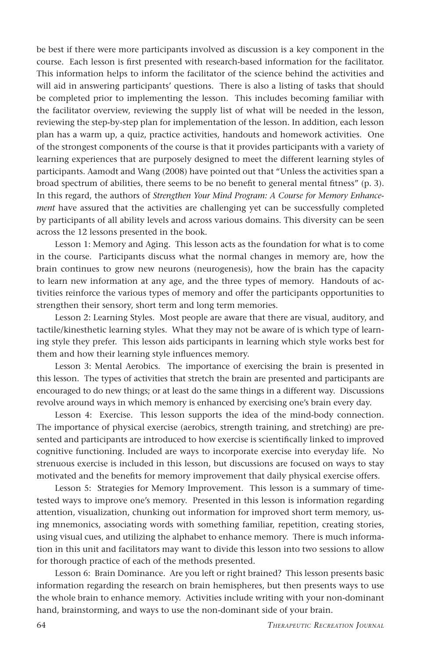be best if there were more participants involved as discussion is a key component in the course. Each lesson is first presented with research-based information for the facilitator. This information helps to inform the facilitator of the science behind the activities and will aid in answering participants' questions. There is also a listing of tasks that should be completed prior to implementing the lesson. This includes becoming familiar with the facilitator overview, reviewing the supply list of what will be needed in the lesson, reviewing the step-by-step plan for implementation of the lesson. In addition, each lesson plan has a warm up, a quiz, practice activities, handouts and homework activities. One of the strongest components of the course is that it provides participants with a variety of learning experiences that are purposely designed to meet the different learning styles of participants. Aamodt and Wang (2008) have pointed out that "Unless the activities span a broad spectrum of abilities, there seems to be no benefit to general mental fitness" (p. 3). In this regard, the authors of *Strengthen Your Mind Program: A Course for Memory Enhancement* have assured that the activities are challenging yet can be successfully completed by participants of all ability levels and across various domains. This diversity can be seen across the 12 lessons presented in the book.

Lesson 1: Memory and Aging. This lesson acts as the foundation for what is to come in the course. Participants discuss what the normal changes in memory are, how the brain continues to grow new neurons (neurogenesis), how the brain has the capacity to learn new information at any age, and the three types of memory. Handouts of activities reinforce the various types of memory and offer the participants opportunities to strengthen their sensory, short term and long term memories.

Lesson 2: Learning Styles. Most people are aware that there are visual, auditory, and tactile/kinesthetic learning styles. What they may not be aware of is which type of learning style they prefer. This lesson aids participants in learning which style works best for them and how their learning style influences memory.

Lesson 3: Mental Aerobics. The importance of exercising the brain is presented in this lesson. The types of activities that stretch the brain are presented and participants are encouraged to do new things; or at least do the same things in a different way. Discussions revolve around ways in which memory is enhanced by exercising one's brain every day.

Lesson 4: Exercise. This lesson supports the idea of the mind-body connection. The importance of physical exercise (aerobics, strength training, and stretching) are presented and participants are introduced to how exercise is scientifically linked to improved cognitive functioning. Included are ways to incorporate exercise into everyday life. No strenuous exercise is included in this lesson, but discussions are focused on ways to stay motivated and the benefits for memory improvement that daily physical exercise offers.

Lesson 5: Strategies for Memory Improvement. This lesson is a summary of timetested ways to improve one's memory. Presented in this lesson is information regarding attention, visualization, chunking out information for improved short term memory, using mnemonics, associating words with something familiar, repetition, creating stories, using visual cues, and utilizing the alphabet to enhance memory. There is much information in this unit and facilitators may want to divide this lesson into two sessions to allow for thorough practice of each of the methods presented.

Lesson 6: Brain Dominance. Are you left or right brained? This lesson presents basic information regarding the research on brain hemispheres, but then presents ways to use the whole brain to enhance memory. Activities include writing with your non-dominant hand, brainstorming, and ways to use the non-dominant side of your brain.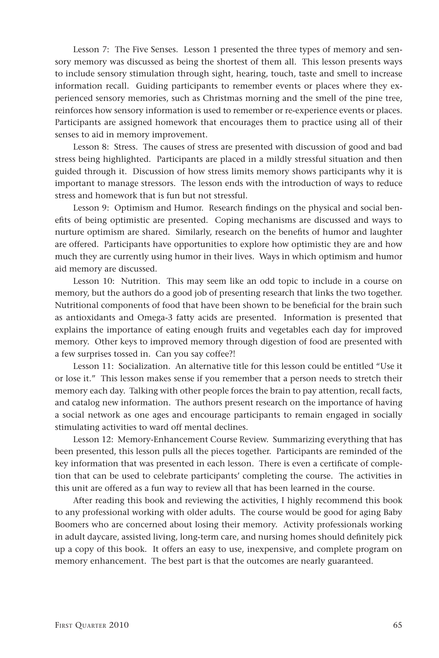Lesson 7: The Five Senses. Lesson 1 presented the three types of memory and sensory memory was discussed as being the shortest of them all. This lesson presents ways to include sensory stimulation through sight, hearing, touch, taste and smell to increase information recall. Guiding participants to remember events or places where they experienced sensory memories, such as Christmas morning and the smell of the pine tree, reinforces how sensory information is used to remember or re-experience events or places. Participants are assigned homework that encourages them to practice using all of their senses to aid in memory improvement.

Lesson 8: Stress. The causes of stress are presented with discussion of good and bad stress being highlighted. Participants are placed in a mildly stressful situation and then guided through it. Discussion of how stress limits memory shows participants why it is important to manage stressors. The lesson ends with the introduction of ways to reduce stress and homework that is fun but not stressful.

Lesson 9: Optimism and Humor. Research findings on the physical and social benefits of being optimistic are presented. Coping mechanisms are discussed and ways to nurture optimism are shared. Similarly, research on the benefits of humor and laughter are offered. Participants have opportunities to explore how optimistic they are and how much they are currently using humor in their lives. Ways in which optimism and humor aid memory are discussed.

Lesson 10: Nutrition. This may seem like an odd topic to include in a course on memory, but the authors do a good job of presenting research that links the two together. Nutritional components of food that have been shown to be beneficial for the brain such as antioxidants and Omega-3 fatty acids are presented. Information is presented that explains the importance of eating enough fruits and vegetables each day for improved memory. Other keys to improved memory through digestion of food are presented with a few surprises tossed in. Can you say coffee?!

Lesson 11: Socialization. An alternative title for this lesson could be entitled "Use it or lose it." This lesson makes sense if you remember that a person needs to stretch their memory each day. Talking with other people forces the brain to pay attention, recall facts, and catalog new information. The authors present research on the importance of having a social network as one ages and encourage participants to remain engaged in socially stimulating activities to ward off mental declines.

Lesson 12: Memory-Enhancement Course Review. Summarizing everything that has been presented, this lesson pulls all the pieces together. Participants are reminded of the key information that was presented in each lesson. There is even a certificate of completion that can be used to celebrate participants' completing the course. The activities in this unit are offered as a fun way to review all that has been learned in the course.

After reading this book and reviewing the activities, I highly recommend this book to any professional working with older adults. The course would be good for aging Baby Boomers who are concerned about losing their memory. Activity professionals working in adult daycare, assisted living, long-term care, and nursing homes should definitely pick up a copy of this book. It offers an easy to use, inexpensive, and complete program on memory enhancement. The best part is that the outcomes are nearly guaranteed.